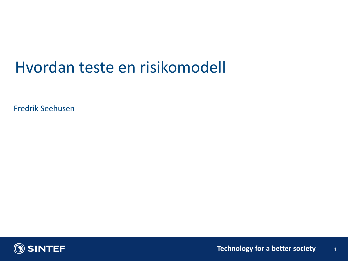# Hvordan teste en risikomodell

Fredrik Seehusen

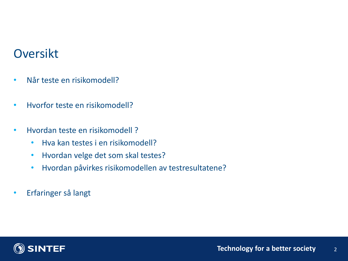#### **Oversikt**

- Når teste en risikomodell?
- Hvorfor teste en risikomodell?
- Hvordan teste en risikomodell ?
	- Hva kan testes i en risikomodell?
	- Hvordan velge det som skal testes?
	- Hvordan påvirkes risikomodellen av testresultatene?
- Erfaringer så langt

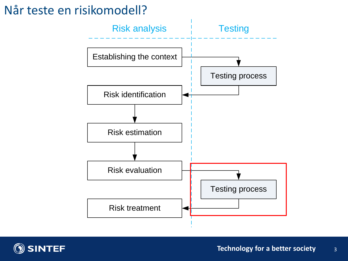#### Når teste en risikomodell?



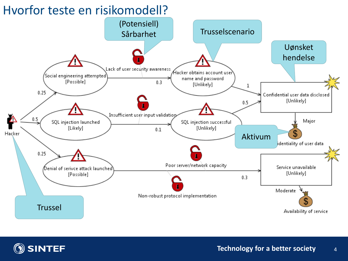

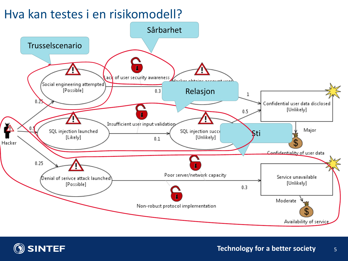### Hva kan testes i en risikomodell?



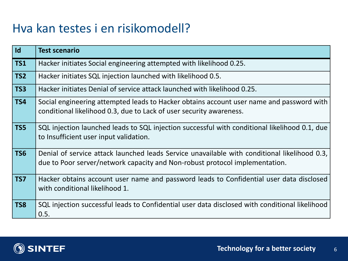#### Hva kan testes i en risikomodell?

| Id              | <b>Test scenario</b>                                                                                                                                                        |
|-----------------|-----------------------------------------------------------------------------------------------------------------------------------------------------------------------------|
| <b>TS1</b>      | Hacker initiates Social engineering attempted with likelihood 0.25.                                                                                                         |
| TS <sub>2</sub> | Hacker initiates SQL injection launched with likelihood 0.5.                                                                                                                |
| TS <sub>3</sub> | Hacker initiates Denial of service attack launched with likelihood 0.25.                                                                                                    |
| TS4             | Social engineering attempted leads to Hacker obtains account user name and password with<br>conditional likelihood 0.3, due to Lack of user security awareness.             |
| TS5             | SQL injection launched leads to SQL injection successful with conditional likelihood 0.1, due<br>to Insufficient user input validation.                                     |
| TS6             | Denial of service attack launched leads Service unavailable with conditional likelihood 0.3,<br>due to Poor server/network capacity and Non-robust protocol implementation. |
| TS7             | Hacker obtains account user name and password leads to Confidential user data disclosed<br>with conditional likelihood 1.                                                   |
| TS8             | SQL injection successful leads to Confidential user data disclosed with conditional likelihood<br>0.5.                                                                      |

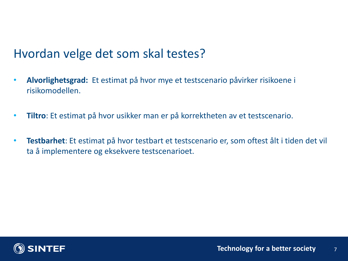#### Hvordan velge det som skal testes?

- **Alvorlighetsgrad:** Et estimat på hvor mye et testscenario påvirker risikoene i risikomodellen.
- **Tiltro**: Et estimat på hvor usikker man er på korrektheten av et testscenario.
- **Testbarhet**: Et estimat på hvor testbart et testscenario er, som oftest ålt i tiden det vil ta å implementere og eksekvere testscenarioet.

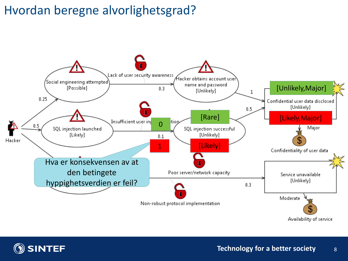## Hvordan beregne alvorlighetsgrad?



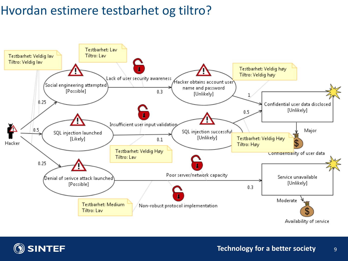#### Hvordan estimere testbarhet og tiltro?



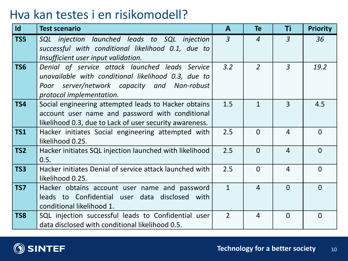### Hva kan testes i en risikomodell?

| $\mathsf{Id}$   | <b>Test scenario</b>                                                                                                                                                                 | $\mathbf{A}$   | <b>Te</b>      | Τi             | <b>Priority</b> |
|-----------------|--------------------------------------------------------------------------------------------------------------------------------------------------------------------------------------|----------------|----------------|----------------|-----------------|
| TS5             | SQL injection launched leads to SQL injection<br>successful with conditional likelihood 0.1, due to<br>Insufficient user input validation.                                           | $\overline{3}$ | $\overline{4}$ | $\overline{3}$ | 36              |
| TS6             | Denial of service attack launched leads Service<br>unavailable with conditional likelihood 0.3, due to<br>server/network capacity and Non-robust<br>Poor<br>protocol implementation. | 3.2            | $\overline{2}$ | $\overline{3}$ | 19.2            |
| <b>TS4</b>      | Social engineering attempted leads to Hacker obtains<br>account user name and password with conditional<br>likelihood 0.3, due to Lack of user security awareness.                   | 1.5            | $\mathbf{1}$   | $\overline{3}$ | 4.5             |
| <b>TS1</b>      | Hacker initiates Social engineering attempted with<br>likelihood 0.25.                                                                                                               | 2.5            | $\Omega$       | $\overline{4}$ | $\Omega$        |
| TS <sub>2</sub> | Hacker initiates SQL injection launched with likelihood<br>0.5.                                                                                                                      | 2.5            | $\Omega$       | $\overline{4}$ | $\Omega$        |
| TS3             | Hacker initiates Denial of service attack launched with<br>likelihood 0.25.                                                                                                          | 2.5            | $\Omega$       | $\overline{4}$ | $\Omega$        |
| TS7             | Hacker obtains account user name and password<br>leads to Confidential user data disclosed with<br>conditional likelihood 1.                                                         | $\mathbf{1}$   | $\overline{4}$ | $\Omega$       | $\Omega$        |
| TS8             | SQL injection successful leads to Confidential user<br>data disclosed with conditional likelihood 0.5.                                                                               | $\overline{2}$ | $\overline{4}$ | $\Omega$       | $\overline{0}$  |

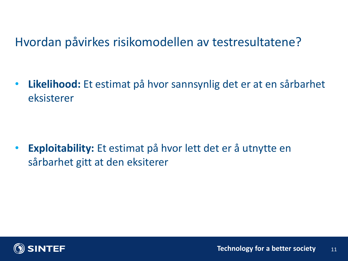### Hvordan påvirkes risikomodellen av testresultatene?

• **Likelihood:** Et estimat på hvor sannsynlig det er at en sårbarhet eksisterer

• **Exploitability:** Et estimat på hvor lett det er å utnytte en sårbarhet gitt at den eksiterer

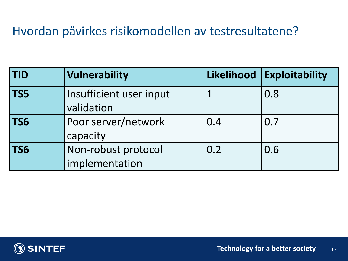## Hvordan påvirkes risikomodellen av testresultatene?

| <b>TID</b> | <b>Vulnerability</b>                  | Likelihood | <b>Exploitability</b> |
|------------|---------------------------------------|------------|-----------------------|
| TS5        | Insufficient user input<br>validation |            | 0.8                   |
| TS6        | Poor server/network<br>capacity       | 0.4        | 0.7                   |
| TS6        | Non-robust protocol<br>implementation | 0.2        | 0.6                   |

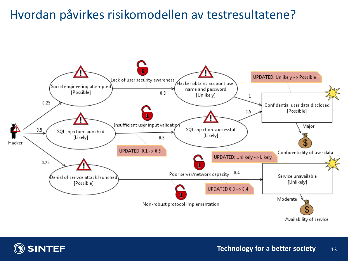## Hvordan påvirkes risikomodellen av testresultatene?



Availability of service